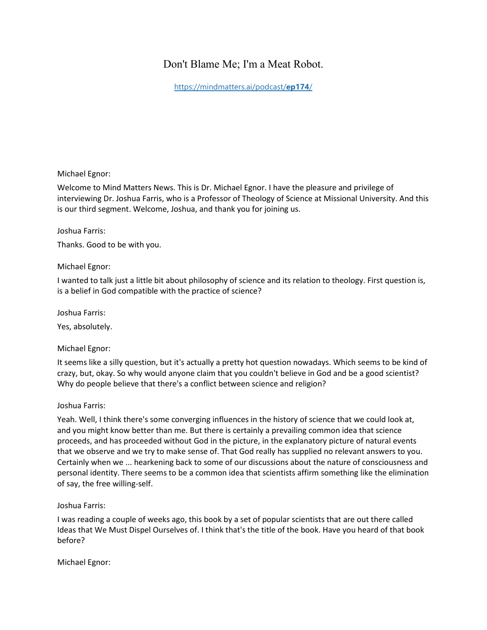# Don't Blame Me; I'm a Meat Robot.

[https://mindmatters.ai/podcast/](https://mindmatters.ai/podcast/ep174/)**ep174**/

# Michael Egnor:

Welcome to Mind Matters News. This is Dr. Michael Egnor. I have the pleasure and privilege of interviewing Dr. Joshua Farris, who is a Professor of Theology of Science at Missional University. And this is our third segment. Welcome, Joshua, and thank you for joining us.

### Joshua Farris:

Thanks. Good to be with you.

### Michael Egnor:

I wanted to talk just a little bit about philosophy of science and its relation to theology. First question is, is a belief in God compatible with the practice of science?

Joshua Farris:

Yes, absolutely.

# Michael Egnor:

It seems like a silly question, but it's actually a pretty hot question nowadays. Which seems to be kind of crazy, but, okay. So why would anyone claim that you couldn't believe in God and be a good scientist? Why do people believe that there's a conflict between science and religion?

#### Joshua Farris:

Yeah. Well, I think there's some converging influences in the history of science that we could look at, and you might know better than me. But there is certainly a prevailing common idea that science proceeds, and has proceeded without God in the picture, in the explanatory picture of natural events that we observe and we try to make sense of. That God really has supplied no relevant answers to you. Certainly when we ... hearkening back to some of our discussions about the nature of consciousness and personal identity. There seems to be a common idea that scientists affirm something like the elimination of say, the free willing-self.

Joshua Farris:

I was reading a couple of weeks ago, this book by a set of popular scientists that are out there called Ideas that We Must Dispel Ourselves of. I think that's the title of the book. Have you heard of that book before?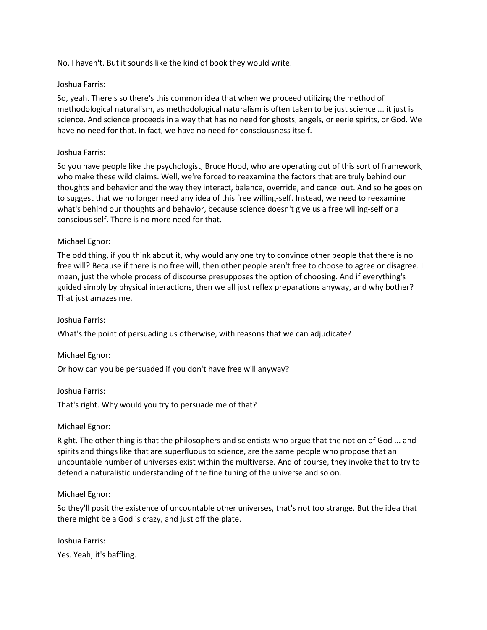No, I haven't. But it sounds like the kind of book they would write.

# Joshua Farris:

So, yeah. There's so there's this common idea that when we proceed utilizing the method of methodological naturalism, as methodological naturalism is often taken to be just science ... it just is science. And science proceeds in a way that has no need for ghosts, angels, or eerie spirits, or God. We have no need for that. In fact, we have no need for consciousness itself.

# Joshua Farris:

So you have people like the psychologist, Bruce Hood, who are operating out of this sort of framework, who make these wild claims. Well, we're forced to reexamine the factors that are truly behind our thoughts and behavior and the way they interact, balance, override, and cancel out. And so he goes on to suggest that we no longer need any idea of this free willing-self. Instead, we need to reexamine what's behind our thoughts and behavior, because science doesn't give us a free willing-self or a conscious self. There is no more need for that.

# Michael Egnor:

The odd thing, if you think about it, why would any one try to convince other people that there is no free will? Because if there is no free will, then other people aren't free to choose to agree or disagree. I mean, just the whole process of discourse presupposes the option of choosing. And if everything's guided simply by physical interactions, then we all just reflex preparations anyway, and why bother? That just amazes me.

# Joshua Farris:

What's the point of persuading us otherwise, with reasons that we can adjudicate?

# Michael Egnor:

Or how can you be persuaded if you don't have free will anyway?

Joshua Farris:

That's right. Why would you try to persuade me of that?

# Michael Egnor:

Right. The other thing is that the philosophers and scientists who argue that the notion of God ... and spirits and things like that are superfluous to science, are the same people who propose that an uncountable number of universes exist within the multiverse. And of course, they invoke that to try to defend a naturalistic understanding of the fine tuning of the universe and so on.

# Michael Egnor:

So they'll posit the existence of uncountable other universes, that's not too strange. But the idea that there might be a God is crazy, and just off the plate.

Joshua Farris: Yes. Yeah, it's baffling.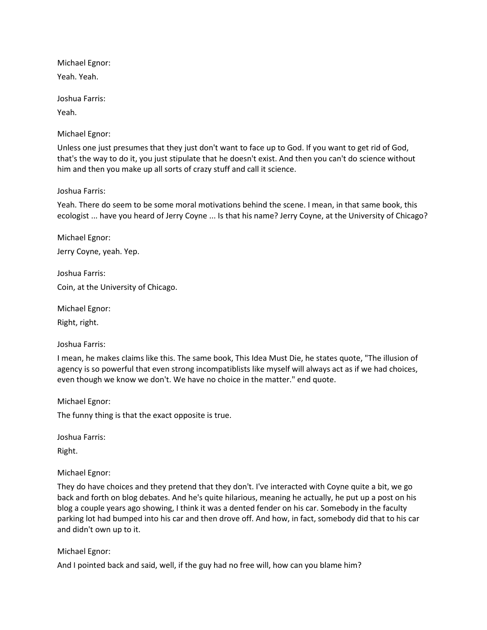Michael Egnor: Yeah. Yeah.

Joshua Farris:

Yeah.

Michael Egnor:

Unless one just presumes that they just don't want to face up to God. If you want to get rid of God, that's the way to do it, you just stipulate that he doesn't exist. And then you can't do science without him and then you make up all sorts of crazy stuff and call it science.

Joshua Farris:

Yeah. There do seem to be some moral motivations behind the scene. I mean, in that same book, this ecologist ... have you heard of Jerry Coyne ... Is that his name? Jerry Coyne, at the University of Chicago?

Michael Egnor: Jerry Coyne, yeah. Yep.

Joshua Farris: Coin, at the University of Chicago.

Michael Egnor:

Right, right.

Joshua Farris:

I mean, he makes claims like this. The same book, This Idea Must Die, he states quote, "The illusion of agency is so powerful that even strong incompatiblists like myself will always act as if we had choices, even though we know we don't. We have no choice in the matter." end quote.

Michael Egnor:

The funny thing is that the exact opposite is true.

Joshua Farris:

Right.

Michael Egnor:

They do have choices and they pretend that they don't. I've interacted with Coyne quite a bit, we go back and forth on blog debates. And he's quite hilarious, meaning he actually, he put up a post on his blog a couple years ago showing, I think it was a dented fender on his car. Somebody in the faculty parking lot had bumped into his car and then drove off. And how, in fact, somebody did that to his car and didn't own up to it.

Michael Egnor:

And I pointed back and said, well, if the guy had no free will, how can you blame him?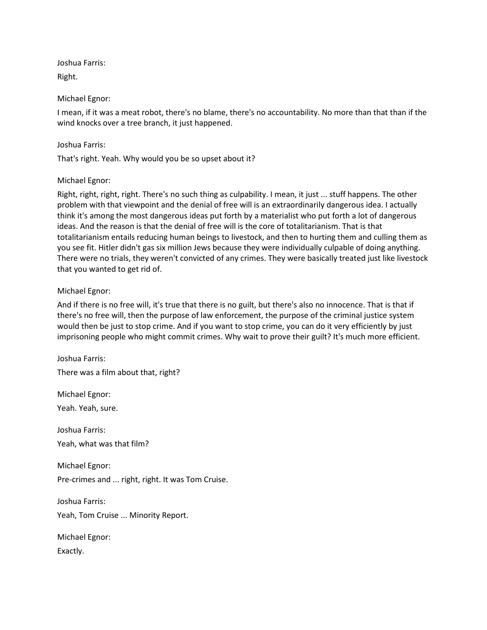Joshua Farris:

Right.

# Michael Egnor:

I mean, if it was a meat robot, there's no blame, there's no accountability. No more than that than if the wind knocks over a tree branch, it just happened.

# Joshua Farris:

That's right. Yeah. Why would you be so upset about it?

# Michael Egnor:

Right, right, right, right. There's no such thing as culpability. I mean, it just ... stuff happens. The other problem with that viewpoint and the denial of free will is an extraordinarily dangerous idea. I actually think it's among the most dangerous ideas put forth by a materialist who put forth a lot of dangerous ideas. And the reason is that the denial of free will is the core of totalitarianism. That is that totalitarianism entails reducing human beings to livestock, and then to hurting them and culling them as you see fit. Hitler didn't gas six million Jews because they were individually culpable of doing anything. There were no trials, they weren't convicted of any crimes. They were basically treated just like livestock that you wanted to get rid of.

# Michael Egnor:

And if there is no free will, it's true that there is no guilt, but there's also no innocence. That is that if there's no free will, then the purpose of law enforcement, the purpose of the criminal justice system would then be just to stop crime. And if you want to stop crime, you can do it very efficiently by just imprisoning people who might commit crimes. Why wait to prove their guilt? It's much more efficient.

Joshua Farris: There was a film about that, right?

Michael Egnor:

Yeah. Yeah, sure.

Joshua Farris:

Yeah, what was that film?

Michael Egnor: Pre-crimes and ... right, right. It was Tom Cruise.

Joshua Farris: Yeah, Tom Cruise ... Minority Report.

Michael Egnor: Exactly.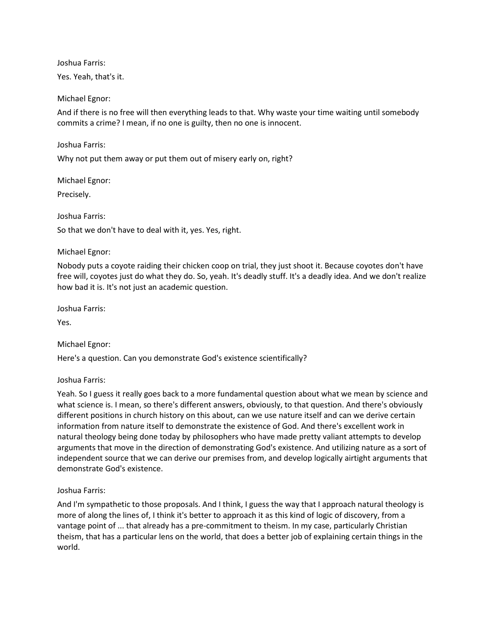Joshua Farris:

Yes. Yeah, that's it.

Michael Egnor:

And if there is no free will then everything leads to that. Why waste your time waiting until somebody commits a crime? I mean, if no one is guilty, then no one is innocent.

Joshua Farris:

Why not put them away or put them out of misery early on, right?

Michael Egnor:

Precisely.

### Joshua Farris:

So that we don't have to deal with it, yes. Yes, right.

### Michael Egnor:

Nobody puts a coyote raiding their chicken coop on trial, they just shoot it. Because coyotes don't have free will, coyotes just do what they do. So, yeah. It's deadly stuff. It's a deadly idea. And we don't realize how bad it is. It's not just an academic question.

Joshua Farris:

Yes.

Michael Egnor:

Here's a question. Can you demonstrate God's existence scientifically?

Joshua Farris:

Yeah. So I guess it really goes back to a more fundamental question about what we mean by science and what science is. I mean, so there's different answers, obviously, to that question. And there's obviously different positions in church history on this about, can we use nature itself and can we derive certain information from nature itself to demonstrate the existence of God. And there's excellent work in natural theology being done today by philosophers who have made pretty valiant attempts to develop arguments that move in the direction of demonstrating God's existence. And utilizing nature as a sort of independent source that we can derive our premises from, and develop logically airtight arguments that demonstrate God's existence.

# Joshua Farris:

And I'm sympathetic to those proposals. And I think, I guess the way that I approach natural theology is more of along the lines of, I think it's better to approach it as this kind of logic of discovery, from a vantage point of ... that already has a pre-commitment to theism. In my case, particularly Christian theism, that has a particular lens on the world, that does a better job of explaining certain things in the world.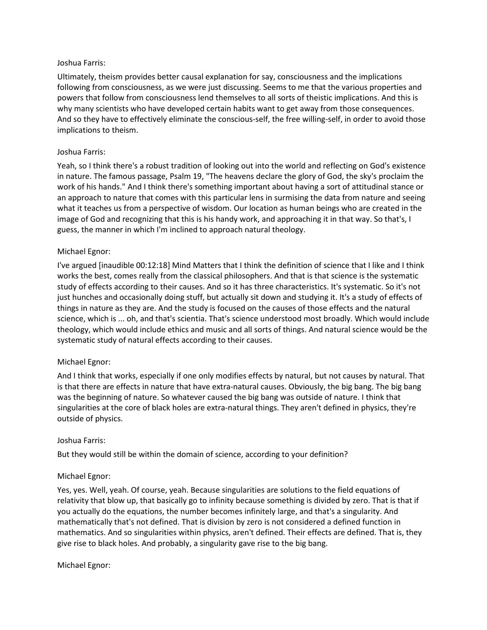### Joshua Farris:

Ultimately, theism provides better causal explanation for say, consciousness and the implications following from consciousness, as we were just discussing. Seems to me that the various properties and powers that follow from consciousness lend themselves to all sorts of theistic implications. And this is why many scientists who have developed certain habits want to get away from those consequences. And so they have to effectively eliminate the conscious-self, the free willing-self, in order to avoid those implications to theism.

### Joshua Farris:

Yeah, so I think there's a robust tradition of looking out into the world and reflecting on God's existence in nature. The famous passage, Psalm 19, "The heavens declare the glory of God, the sky's proclaim the work of his hands." And I think there's something important about having a sort of attitudinal stance or an approach to nature that comes with this particular lens in surmising the data from nature and seeing what it teaches us from a perspective of wisdom. Our location as human beings who are created in the image of God and recognizing that this is his handy work, and approaching it in that way. So that's, I guess, the manner in which I'm inclined to approach natural theology.

### Michael Egnor:

I've argued [inaudible 00:12:18] Mind Matters that I think the definition of science that I like and I think works the best, comes really from the classical philosophers. And that is that science is the systematic study of effects according to their causes. And so it has three characteristics. It's systematic. So it's not just hunches and occasionally doing stuff, but actually sit down and studying it. It's a study of effects of things in nature as they are. And the study is focused on the causes of those effects and the natural science, which is ... oh, and that's scientia. That's science understood most broadly. Which would include theology, which would include ethics and music and all sorts of things. And natural science would be the systematic study of natural effects according to their causes.

#### Michael Egnor:

And I think that works, especially if one only modifies effects by natural, but not causes by natural. That is that there are effects in nature that have extra-natural causes. Obviously, the big bang. The big bang was the beginning of nature. So whatever caused the big bang was outside of nature. I think that singularities at the core of black holes are extra-natural things. They aren't defined in physics, they're outside of physics.

#### Joshua Farris:

But they would still be within the domain of science, according to your definition?

#### Michael Egnor:

Yes, yes. Well, yeah. Of course, yeah. Because singularities are solutions to the field equations of relativity that blow up, that basically go to infinity because something is divided by zero. That is that if you actually do the equations, the number becomes infinitely large, and that's a singularity. And mathematically that's not defined. That is division by zero is not considered a defined function in mathematics. And so singularities within physics, aren't defined. Their effects are defined. That is, they give rise to black holes. And probably, a singularity gave rise to the big bang.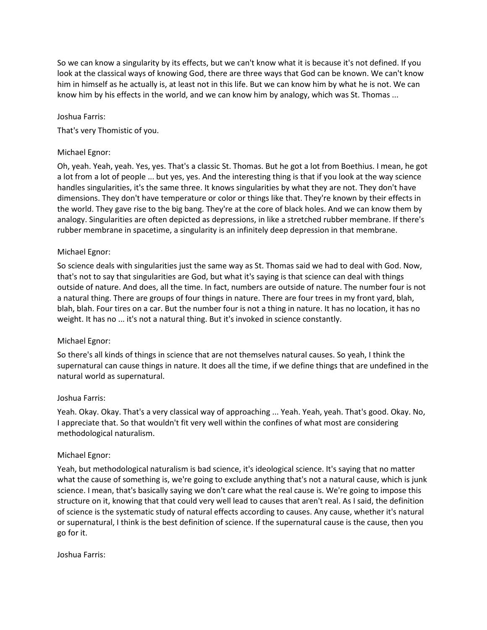So we can know a singularity by its effects, but we can't know what it is because it's not defined. If you look at the classical ways of knowing God, there are three ways that God can be known. We can't know him in himself as he actually is, at least not in this life. But we can know him by what he is not. We can know him by his effects in the world, and we can know him by analogy, which was St. Thomas ...

### Joshua Farris:

That's very Thomistic of you.

### Michael Egnor:

Oh, yeah. Yeah, yeah. Yes, yes. That's a classic St. Thomas. But he got a lot from Boethius. I mean, he got a lot from a lot of people ... but yes, yes. And the interesting thing is that if you look at the way science handles singularities, it's the same three. It knows singularities by what they are not. They don't have dimensions. They don't have temperature or color or things like that. They're known by their effects in the world. They gave rise to the big bang. They're at the core of black holes. And we can know them by analogy. Singularities are often depicted as depressions, in like a stretched rubber membrane. If there's rubber membrane in spacetime, a singularity is an infinitely deep depression in that membrane.

### Michael Egnor:

So science deals with singularities just the same way as St. Thomas said we had to deal with God. Now, that's not to say that singularities are God, but what it's saying is that science can deal with things outside of nature. And does, all the time. In fact, numbers are outside of nature. The number four is not a natural thing. There are groups of four things in nature. There are four trees in my front yard, blah, blah, blah. Four tires on a car. But the number four is not a thing in nature. It has no location, it has no weight. It has no ... it's not a natural thing. But it's invoked in science constantly.

#### Michael Egnor:

So there's all kinds of things in science that are not themselves natural causes. So yeah, I think the supernatural can cause things in nature. It does all the time, if we define things that are undefined in the natural world as supernatural.

#### Joshua Farris:

Yeah. Okay. Okay. That's a very classical way of approaching ... Yeah. Yeah, yeah. That's good. Okay. No, I appreciate that. So that wouldn't fit very well within the confines of what most are considering methodological naturalism.

#### Michael Egnor:

Yeah, but methodological naturalism is bad science, it's ideological science. It's saying that no matter what the cause of something is, we're going to exclude anything that's not a natural cause, which is junk science. I mean, that's basically saying we don't care what the real cause is. We're going to impose this structure on it, knowing that that could very well lead to causes that aren't real. As I said, the definition of science is the systematic study of natural effects according to causes. Any cause, whether it's natural or supernatural, I think is the best definition of science. If the supernatural cause is the cause, then you go for it.

Joshua Farris: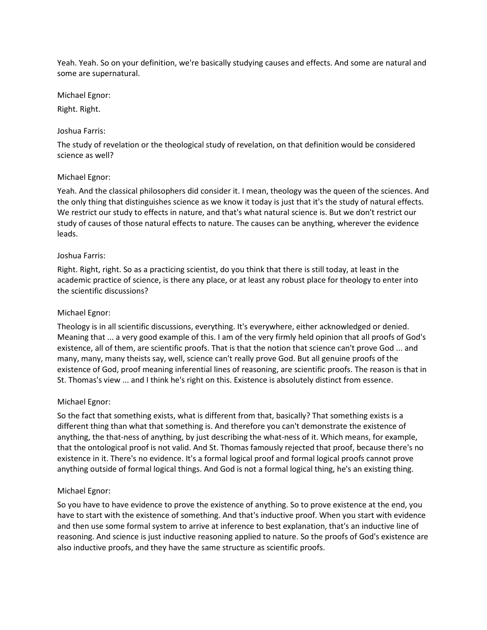Yeah. Yeah. So on your definition, we're basically studying causes and effects. And some are natural and some are supernatural.

Michael Egnor:

Right. Right.

### Joshua Farris:

The study of revelation or the theological study of revelation, on that definition would be considered science as well?

# Michael Egnor:

Yeah. And the classical philosophers did consider it. I mean, theology was the queen of the sciences. And the only thing that distinguishes science as we know it today is just that it's the study of natural effects. We restrict our study to effects in nature, and that's what natural science is. But we don't restrict our study of causes of those natural effects to nature. The causes can be anything, wherever the evidence leads.

# Joshua Farris:

Right. Right, right. So as a practicing scientist, do you think that there is still today, at least in the academic practice of science, is there any place, or at least any robust place for theology to enter into the scientific discussions?

### Michael Egnor:

Theology is in all scientific discussions, everything. It's everywhere, either acknowledged or denied. Meaning that ... a very good example of this. I am of the very firmly held opinion that all proofs of God's existence, all of them, are scientific proofs. That is that the notion that science can't prove God ... and many, many, many theists say, well, science can't really prove God. But all genuine proofs of the existence of God, proof meaning inferential lines of reasoning, are scientific proofs. The reason is that in St. Thomas's view ... and I think he's right on this. Existence is absolutely distinct from essence.

# Michael Egnor:

So the fact that something exists, what is different from that, basically? That something exists is a different thing than what that something is. And therefore you can't demonstrate the existence of anything, the that-ness of anything, by just describing the what-ness of it. Which means, for example, that the ontological proof is not valid. And St. Thomas famously rejected that proof, because there's no existence in it. There's no evidence. It's a formal logical proof and formal logical proofs cannot prove anything outside of formal logical things. And God is not a formal logical thing, he's an existing thing.

# Michael Egnor:

So you have to have evidence to prove the existence of anything. So to prove existence at the end, you have to start with the existence of something. And that's inductive proof. When you start with evidence and then use some formal system to arrive at inference to best explanation, that's an inductive line of reasoning. And science is just inductive reasoning applied to nature. So the proofs of God's existence are also inductive proofs, and they have the same structure as scientific proofs.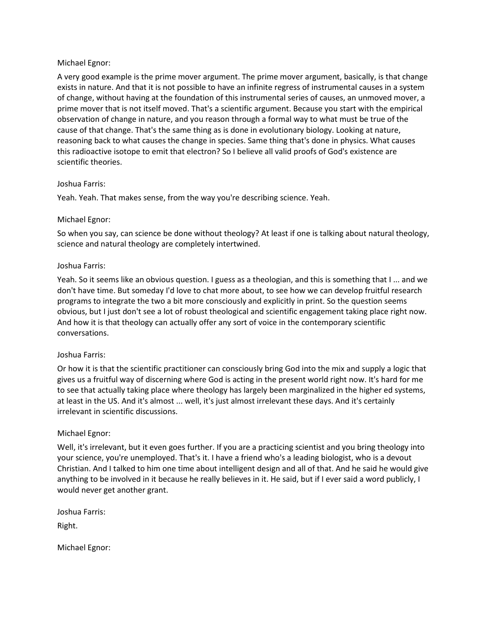# Michael Egnor:

A very good example is the prime mover argument. The prime mover argument, basically, is that change exists in nature. And that it is not possible to have an infinite regress of instrumental causes in a system of change, without having at the foundation of this instrumental series of causes, an unmoved mover, a prime mover that is not itself moved. That's a scientific argument. Because you start with the empirical observation of change in nature, and you reason through a formal way to what must be true of the cause of that change. That's the same thing as is done in evolutionary biology. Looking at nature, reasoning back to what causes the change in species. Same thing that's done in physics. What causes this radioactive isotope to emit that electron? So I believe all valid proofs of God's existence are scientific theories.

### Joshua Farris:

Yeah. Yeah. That makes sense, from the way you're describing science. Yeah.

### Michael Egnor:

So when you say, can science be done without theology? At least if one is talking about natural theology, science and natural theology are completely intertwined.

#### Joshua Farris:

Yeah. So it seems like an obvious question. I guess as a theologian, and this is something that I ... and we don't have time. But someday I'd love to chat more about, to see how we can develop fruitful research programs to integrate the two a bit more consciously and explicitly in print. So the question seems obvious, but I just don't see a lot of robust theological and scientific engagement taking place right now. And how it is that theology can actually offer any sort of voice in the contemporary scientific conversations.

#### Joshua Farris:

Or how it is that the scientific practitioner can consciously bring God into the mix and supply a logic that gives us a fruitful way of discerning where God is acting in the present world right now. It's hard for me to see that actually taking place where theology has largely been marginalized in the higher ed systems, at least in the US. And it's almost ... well, it's just almost irrelevant these days. And it's certainly irrelevant in scientific discussions.

#### Michael Egnor:

Well, it's irrelevant, but it even goes further. If you are a practicing scientist and you bring theology into your science, you're unemployed. That's it. I have a friend who's a leading biologist, who is a devout Christian. And I talked to him one time about intelligent design and all of that. And he said he would give anything to be involved in it because he really believes in it. He said, but if I ever said a word publicly, I would never get another grant.

Joshua Farris:

Right.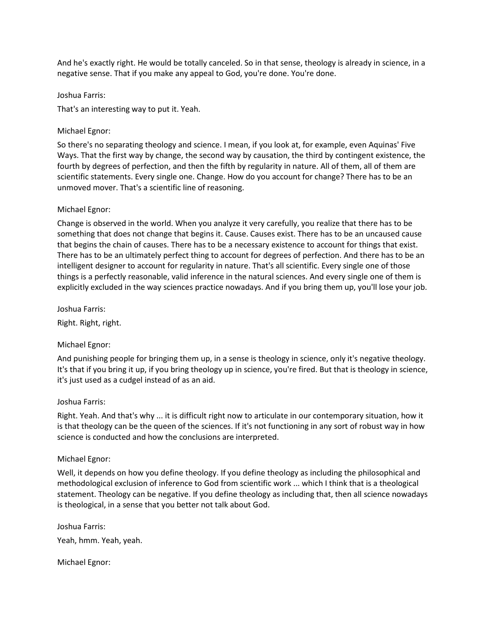And he's exactly right. He would be totally canceled. So in that sense, theology is already in science, in a negative sense. That if you make any appeal to God, you're done. You're done.

### Joshua Farris:

That's an interesting way to put it. Yeah.

# Michael Egnor:

So there's no separating theology and science. I mean, if you look at, for example, even Aquinas' Five Ways. That the first way by change, the second way by causation, the third by contingent existence, the fourth by degrees of perfection, and then the fifth by regularity in nature. All of them, all of them are scientific statements. Every single one. Change. How do you account for change? There has to be an unmoved mover. That's a scientific line of reasoning.

# Michael Egnor:

Change is observed in the world. When you analyze it very carefully, you realize that there has to be something that does not change that begins it. Cause. Causes exist. There has to be an uncaused cause that begins the chain of causes. There has to be a necessary existence to account for things that exist. There has to be an ultimately perfect thing to account for degrees of perfection. And there has to be an intelligent designer to account for regularity in nature. That's all scientific. Every single one of those things is a perfectly reasonable, valid inference in the natural sciences. And every single one of them is explicitly excluded in the way sciences practice nowadays. And if you bring them up, you'll lose your job.

Joshua Farris:

Right. Right, right.

# Michael Egnor:

And punishing people for bringing them up, in a sense is theology in science, only it's negative theology. It's that if you bring it up, if you bring theology up in science, you're fired. But that is theology in science, it's just used as a cudgel instead of as an aid.

# Joshua Farris:

Right. Yeah. And that's why ... it is difficult right now to articulate in our contemporary situation, how it is that theology can be the queen of the sciences. If it's not functioning in any sort of robust way in how science is conducted and how the conclusions are interpreted.

# Michael Egnor:

Well, it depends on how you define theology. If you define theology as including the philosophical and methodological exclusion of inference to God from scientific work ... which I think that is a theological statement. Theology can be negative. If you define theology as including that, then all science nowadays is theological, in a sense that you better not talk about God.

Joshua Farris: Yeah, hmm. Yeah, yeah.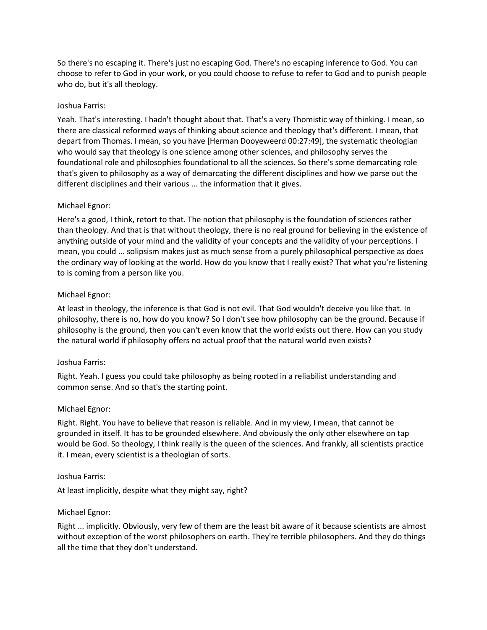So there's no escaping it. There's just no escaping God. There's no escaping inference to God. You can choose to refer to God in your work, or you could choose to refuse to refer to God and to punish people who do, but it's all theology.

# Joshua Farris:

Yeah. That's interesting. I hadn't thought about that. That's a very Thomistic way of thinking. I mean, so there are classical reformed ways of thinking about science and theology that's different. I mean, that depart from Thomas. I mean, so you have [Herman Dooyeweerd 00:27:49], the systematic theologian who would say that theology is one science among other sciences, and philosophy serves the foundational role and philosophies foundational to all the sciences. So there's some demarcating role that's given to philosophy as a way of demarcating the different disciplines and how we parse out the different disciplines and their various ... the information that it gives.

# Michael Egnor:

Here's a good, I think, retort to that. The notion that philosophy is the foundation of sciences rather than theology. And that is that without theology, there is no real ground for believing in the existence of anything outside of your mind and the validity of your concepts and the validity of your perceptions. I mean, you could ... solipsism makes just as much sense from a purely philosophical perspective as does the ordinary way of looking at the world. How do you know that I really exist? That what you're listening to is coming from a person like you.

# Michael Egnor:

At least in theology, the inference is that God is not evil. That God wouldn't deceive you like that. In philosophy, there is no, how do you know? So I don't see how philosophy can be the ground. Because if philosophy is the ground, then you can't even know that the world exists out there. How can you study the natural world if philosophy offers no actual proof that the natural world even exists?

# Joshua Farris:

Right. Yeah. I guess you could take philosophy as being rooted in a reliabilist understanding and common sense. And so that's the starting point.

# Michael Egnor:

Right. Right. You have to believe that reason is reliable. And in my view, I mean, that cannot be grounded in itself. It has to be grounded elsewhere. And obviously the only other elsewhere on tap would be God. So theology, I think really is the queen of the sciences. And frankly, all scientists practice it. I mean, every scientist is a theologian of sorts.

# Joshua Farris:

At least implicitly, despite what they might say, right?

# Michael Egnor:

Right ... implicitly. Obviously, very few of them are the least bit aware of it because scientists are almost without exception of the worst philosophers on earth. They're terrible philosophers. And they do things all the time that they don't understand.